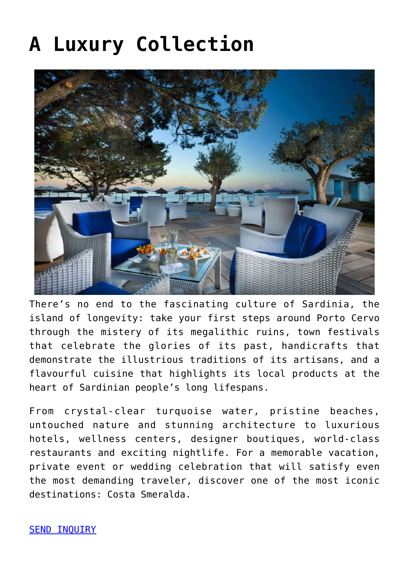## **[A Luxury Collection](https://www.visitsardinia.vip/a-luxury-collection/)**



There's no end to the fascinating culture of Sardinia, the island of longevity: take your first steps around Porto Cervo through the mistery of its megalithic ruins, town festivals that celebrate the glories of its past, handicrafts that demonstrate the illustrious traditions of its artisans, and a flavourful cuisine that highlights its local products at the heart of Sardinian people's long lifespans.

From crystal-clear turquoise water, pristine beaches, untouched nature and stunning architecture to luxurious hotels, wellness centers, designer boutiques, world-class restaurants and exciting nightlife. For a memorable vacation, private event or wedding celebration that will satisfy even the most demanding traveler, discover one of the most iconic destinations: Costa Smeralda.

**SEND INQUIRY**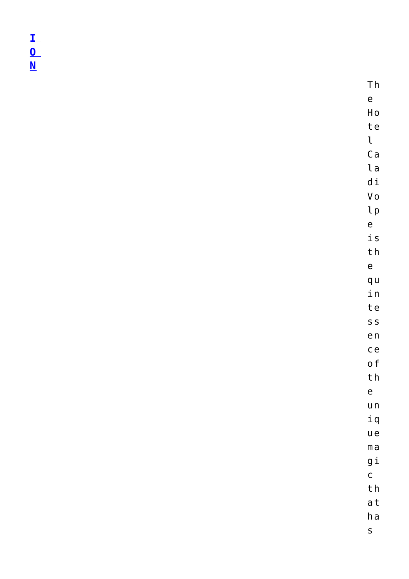$\frac{1}{\underline{0}}$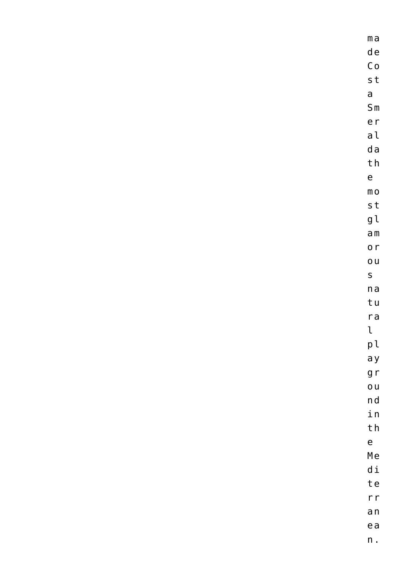| $m a$                          |
|--------------------------------|
| $\mathsf d\,\mathsf e$         |
| Co                             |
| $s$ t                          |
| $\mathsf{a}$                   |
| S <sub>m</sub>                 |
| er                             |
| a <sub>l</sub>                 |
| d a                            |
| ${\sf t}$ h                    |
| $\mathsf{e}\,$                 |
| $\mathsf m$ o                  |
| ${\sf s\,t}$                   |
| $\mathfrak{g}\,\mathfrak{l}$   |
| $\hbox{\tt a} \, \hbox{\tt m}$ |
| o <sub>r</sub>                 |
| O <sub>U</sub>                 |
| $\mathsf{s}$                   |
| n a                            |
| tu                             |
| $r$ a                          |
| $\mathfrak{r}$                 |
| pl                             |
| a y                            |
| g r                            |
| O <sub>U</sub>                 |
| n d                            |
| $\mathtt{i}$ n                 |
| ${\sf t}$ h                    |
| $\mathsf{e}\,$                 |
| Me                             |
| $\hbox{\rm d}$ i               |
| te                             |
| r r                            |
| a <sub>n</sub>                 |
| $e$ a                          |

n .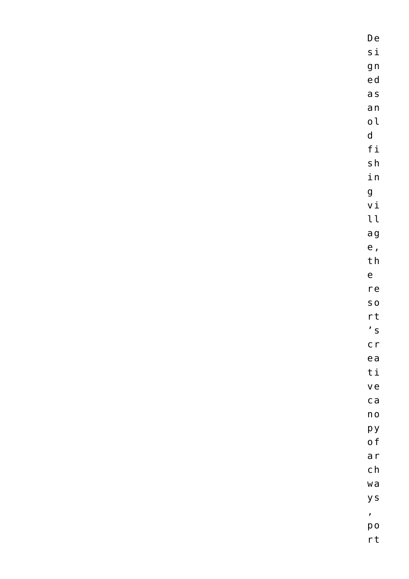D e s i g n e d a s a n o ld f i s h in<br>g v i l l a g e , th<br>e r e s o r t  $'$  s c r e a t i v e c a n o p y o f a r c h w a y s, p o r t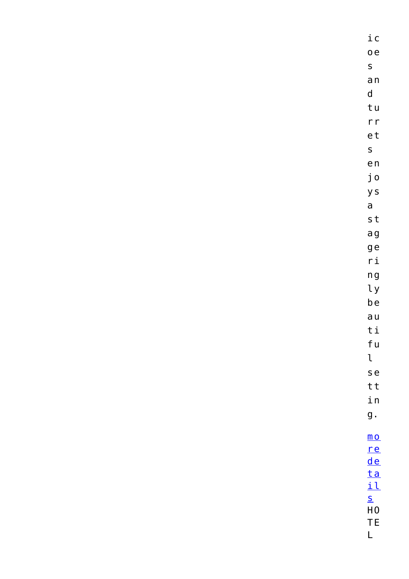$i$  C  $0e$  $\mathsf{s}$  $a<sub>n</sub>$  $\mathsf{d}$ tu  $r r$ et  $\mathsf{s}$  $e<sub>n</sub>$ jo y s  $\mathsf{a}$ s t ag ge  $ri$  $n g$  $\iota$  $be$  $a<sub>u</sub>$  $t i$ fu  $\mathfrak{t}$ s e tt  $i n$  $g$ .  $\underline{\mathsf{m}}\,\underline{\mathsf{o}}$  $r e$  $de$  $ta$ </u>  $i1$  $S$  $H<sub>0</sub>$ **TE** 

 $\overline{\mathsf{L}}$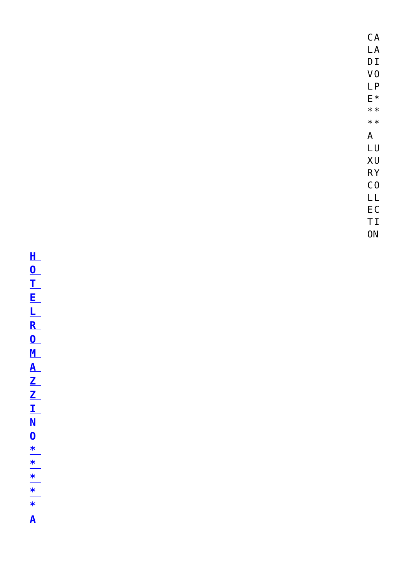$CA$ 

LA<br>DI<br>VO<br>LP<br><del>E</del> \* \*

 $* *$ 

A<br>L<br>X<br>R<br>C<br>C<br>L<br>E<br>T<br>I<br>T<br>N

HOTELROMAZZINO \* \* \* | \* | \* | A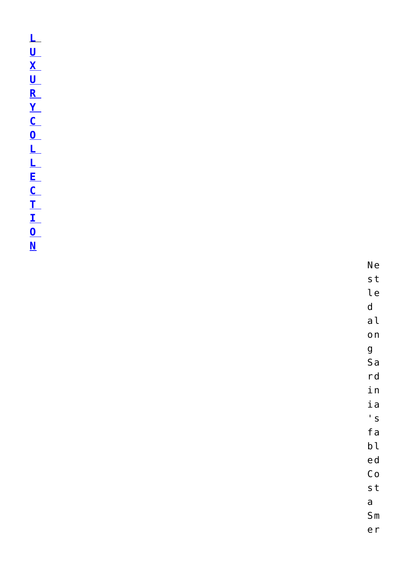N e s t le<br>d a l on<br>g S a r d i n i a ' s f a b l e d C o st<br>a S m e r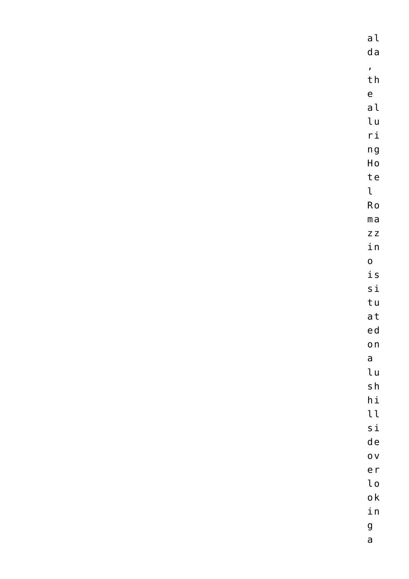| a <sub>l</sub>             |
|----------------------------|
| d a                        |
| $\bar{z}$                  |
| ${\sf t}$ h                |
| $\mathsf{e}\,$             |
| a <sub>l</sub>             |
| $\mathsf{L}\,\mathsf{u}$   |
| $\mathsf{r}\,\mathsf{i}$   |
| $\boldsymbol{\mathsf n}$ g |
| $\operatorname{\sf Ho}$    |
| te                         |
| $\mathfrak{t}$             |
| Ro                         |
| $m a$                      |
| $Z$ $Z$                    |
| $\verb"in"\,$              |
| $\mathbf{o}$               |
| $\mathtt{i}\, \mathtt{s}$  |
| $\sin 1$                   |
| tu                         |
| at                         |
| ed                         |
| $\mathsf{o}\,\mathsf{n}$   |
| $\mathsf{a}$               |
| $\mathsf{L}\,\mathsf{u}$   |
| $\mathsf{s}\:\mathsf{h}$   |
| $\hbox{h\,{\sc i}}$        |
| $\iota$                    |
| $\sin 1$                   |
| d e                        |
| $\overline{O}$ V           |
| e <sub>r</sub>             |
| $\iota$                    |
| $\mathsf{o}\,\mathsf{k}$   |
| $\mathtt{i}$ n             |
| $\boldsymbol{g}$           |

 $\overline{a}$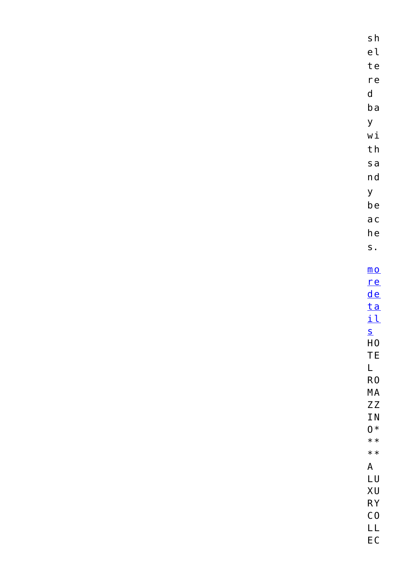| $\mathsf{s}\,\mathsf{h}$                                                                      |
|-----------------------------------------------------------------------------------------------|
| ${\rm e}$ l                                                                                   |
| te                                                                                            |
| re                                                                                            |
| $\mathsf{d}$                                                                                  |
| b a                                                                                           |
| y                                                                                             |
| $\mathtt{w}\,\mathtt{i}$                                                                      |
| ${\sf t}$ h                                                                                   |
| $s$ a                                                                                         |
| n d                                                                                           |
| y                                                                                             |
| be                                                                                            |
| a c                                                                                           |
| ${\sf h}\,{\sf e}$                                                                            |
| $S$ .                                                                                         |
|                                                                                               |
| $\underline{\mathsf{m}}\,\underline{\mathsf{o}}$                                              |
| r e                                                                                           |
| de<br><u>ta</u>                                                                               |
| il                                                                                            |
| $\overline{\mathsf{S}}$                                                                       |
| ${\sf H}\,0$                                                                                  |
| <b>TE</b>                                                                                     |
| $\mathsf{L}% _{0}\left( \mathsf{L}_{1}\right) ^{2}\mathsf{L}_{1}\left( \mathsf{L}_{1}\right)$ |
| ${\sf R0}$                                                                                    |
| $\sf MA$<br>$Z\,Z$                                                                            |
| IN                                                                                            |
| $0*$                                                                                          |
| $**$                                                                                          |
| $**$                                                                                          |
| $\mathsf A$                                                                                   |
| LU                                                                                            |
| XU                                                                                            |
| $\mathsf{RY}$<br>$\mathsf{C}\,\mathsf{0}$                                                     |
| $\mathsf{LL}$                                                                                 |
| $\mathsf{E}\,\mathsf{C}$                                                                      |
|                                                                                               |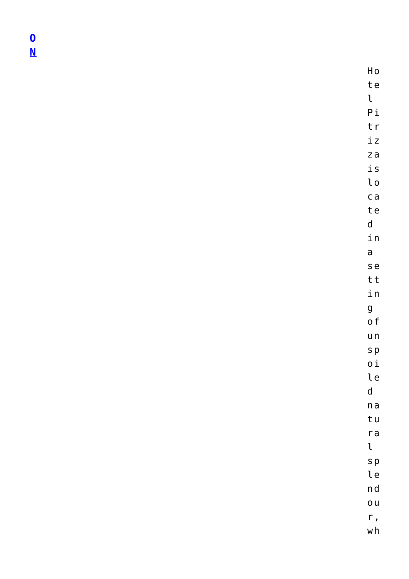$\mathbf{0}$  $\overline{\mathsf{N}}$ 

> Ho te  $\mathfrak{r}$  $P_{i}$ tr  $i z$  $z$ a  $i s$  $\iota$  $ca$ te  $\mathsf{d}$ in  $\overline{a}$ s e tt in  $\overline{g}$  $o f$  $u_n$  $s p$  $0<sup>\frac{1}{2}</sup>$ le  $\mathsf{d}$  $n a$ tu  $ra$  $\mathfrak l$  $s p$ le  $n d$  $\overline{0}$  U  $r,$  $wh$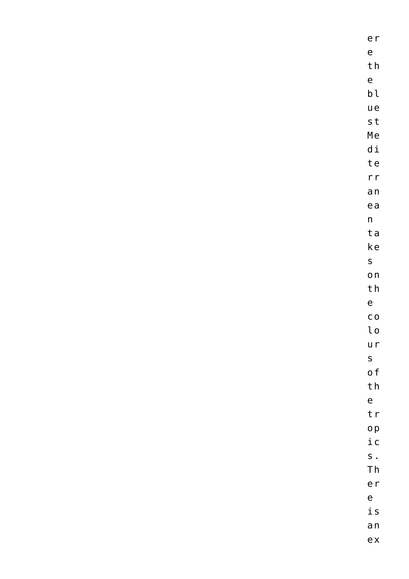| er                         |
|----------------------------|
| $\mathsf{e}\,$             |
| th                         |
| $\mathsf{e}\,$             |
| $\mathsf{b} \, \mathsf{l}$ |
| u e                        |
| $\sf s\,t$                 |
| Me                         |
| $\hbox{\rm d}$ i           |
| te                         |
| r r                        |
| a <sub>n</sub>             |
| $e$ a                      |
| $\sf n$                    |
| ta                         |
| $\mathsf{k}\,\mathsf{e}$   |
| $\mathsf{s}$               |
| $\mathsf{o}\,\mathsf{n}$   |
| ${\sf t}$ h                |
| $\mathsf{e}\,$             |
| $\mathsf C$ O              |
| $\iota$                    |
| u r                        |
| $\mathsf{s}$               |
| o f                        |
| ${\sf t}$ h                |
| $\mathsf{e}\,$             |
| t r                        |
| o p                        |
| $\rm i$ c                  |
| $S$ .                      |
| $\mathsf{T}\,\mathsf{h}$   |
| er                         |
| $\mathsf{e}\,$             |
| $\dot{\texttt{l}}$ S       |
| a <sub>n</sub>             |

e x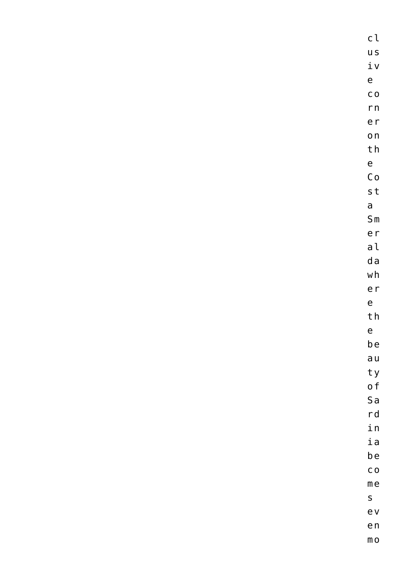c l u s iv<br>e c o r n e r o n th<br>e C o st<br>a S m e r a l d a w h e r<br>e th<br>e b e a u t y o f S a r d i n i a b e c o me<br>s e v e n

m o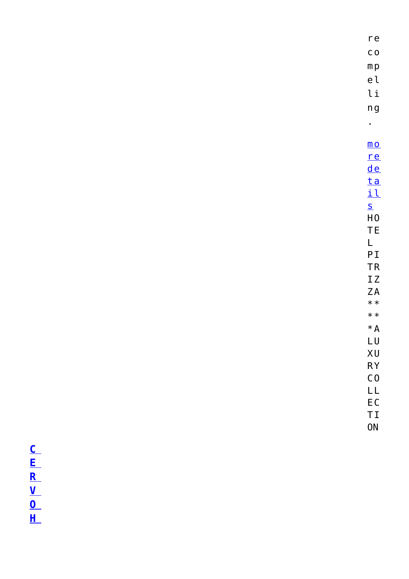## $\begin{array}{c} \mathbf{F} \subseteq \mathbf{F} \\ \mathbf{F} \subseteq \mathbf{F} \end{array}$

| re                          |
|-----------------------------|
| C <sub>O</sub>              |
| m p                         |
| el                          |
| li                          |
| n g                         |
| ٠                           |
|                             |
| $\underline{\mathsf{m}}$ O  |
| re                          |
| <u>de</u>                   |
| <u>ta</u>                   |
| <u>il</u>                   |
| S                           |
| H <sub>0</sub><br><b>TE</b> |
| L                           |
| P <sub>I</sub>              |
| <b>TR</b>                   |
| ΙZ                          |
| ΖA                          |
| $* *$                       |
| $* *$                       |
| $*A$                        |
| LU                          |
| XU                          |
| <b>RY</b>                   |
| $\overline{C}0$             |
| LL                          |
| EC<br>ΤI                    |
| <b>ON</b>                   |
|                             |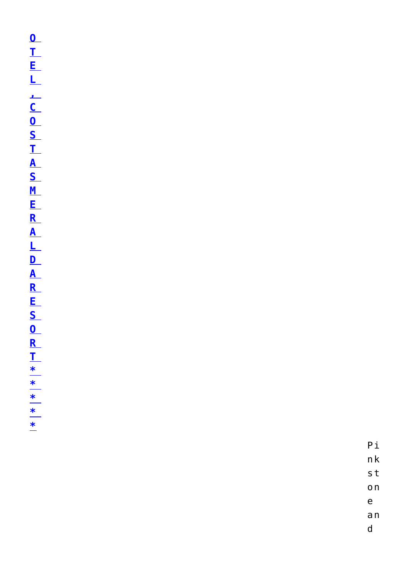$P_{i}$  $n k$ 

 $\mathsf{s}\, \mathsf{t}$ 

 $\mathsf{o}\,\mathsf{n}$  $\mathsf{e}\mathsf{ }$ 

 $a n$ 

 $\mathsf{d}$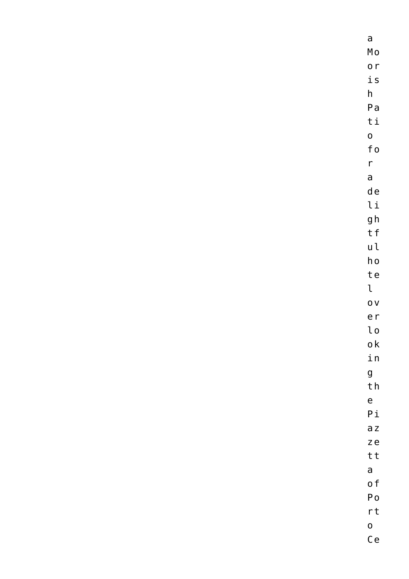a M o o r i s h P a t i o f o r a d e l i g h t f u l h o t e  $\mathfrak{t}$ o v e r l o o k i n g t h e P i a z z e t t a o f P o r t o

C e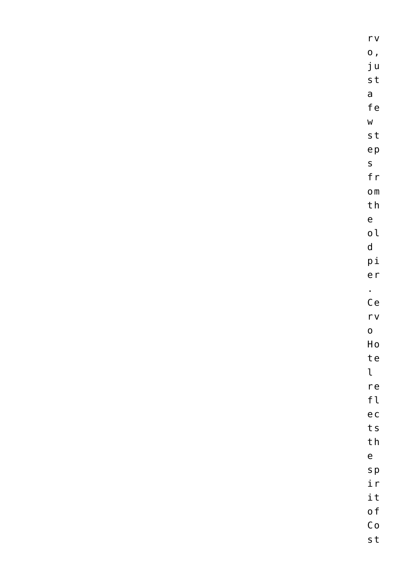| $\Gamma$ V                                                       |
|------------------------------------------------------------------|
| $\mathbf{o}$ ,                                                   |
| ju                                                               |
| s t                                                              |
| $\mathsf{a}$                                                     |
| $\operatorname{\sf fe}$                                          |
| $\mathsf{W}$                                                     |
| s t                                                              |
| e <sub>p</sub>                                                   |
| $\mathsf{s}$                                                     |
| f $r$                                                            |
| $\mathsf{O}\,\mathsf{m}$                                         |
| $\ensuremath{\mathsf{t}}\xspace\,\ensuremath{\mathsf{h}}\xspace$ |
| $\mathsf{e}\mathsf{ }$                                           |
| $\mathop{\rm {}o}\mathop{\rm {}l}\nolimits$                      |
| $\mathsf{d}$                                                     |
| $\mathsf{p}\,\mathsf{i}$                                         |
| e <sub>r</sub>                                                   |
| $\bullet$                                                        |
| Ce                                                               |
| $\Gamma$ V                                                       |
| $\mathbf 0$                                                      |
| Ho                                                               |
| te                                                               |
| $\mathfrak{t}$                                                   |
| re                                                               |
| $\ensuremath{\mathsf{f}}\xspace\,\ensuremath{\mathsf{t}}\xspace$ |
| e c                                                              |
| t s                                                              |
| ${\sf t}$ h                                                      |
| $\mathsf{e}\,$                                                   |
| $S$ $p$                                                          |
| i r                                                              |
| it                                                               |
| o f                                                              |
| $\mathsf C$ o                                                    |
|                                                                  |

s t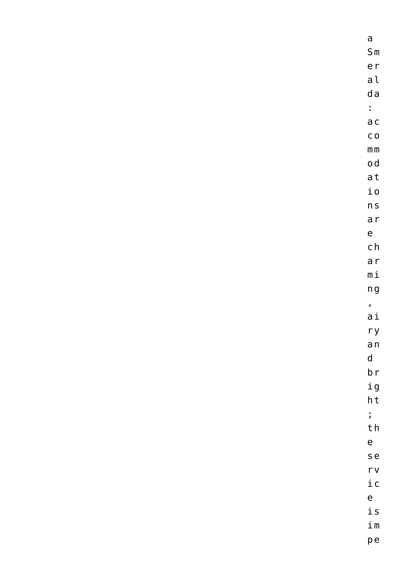a S m e r a l d a : a c c o  $m m$ o d a t i o n s a r e c h a r m i n g  $\mathbf{r}$ a i r y a n d b r i g h t ; t h e s e r v i c e i s i m p e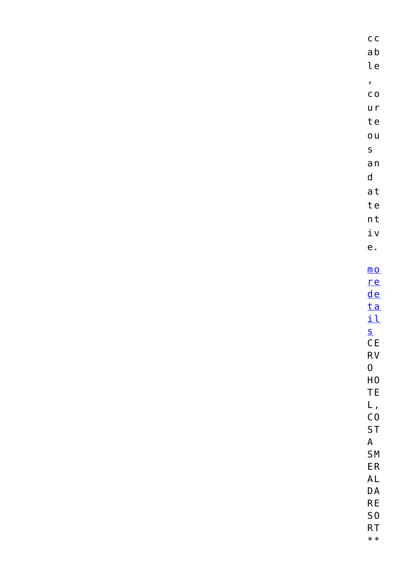| $\mathsf{a}\,\mathsf{b}$<br>$\mathop{\text{le}}$<br>$\pmb{\prime}$<br>$\mathsf C$ O<br>u r<br>te<br>O <sub>u</sub><br>$\mathsf S$<br>a <sub>n</sub><br>$\mathsf{d}$<br>a t<br>te<br>n t<br>$\underline{\textbf{i}}$ v<br>${\sf e}$ .<br>$\underline{\mathsf{m}}\,\underline{\mathsf{o}}$ |
|------------------------------------------------------------------------------------------------------------------------------------------------------------------------------------------------------------------------------------------------------------------------------------------|
|                                                                                                                                                                                                                                                                                          |
|                                                                                                                                                                                                                                                                                          |
|                                                                                                                                                                                                                                                                                          |
|                                                                                                                                                                                                                                                                                          |
|                                                                                                                                                                                                                                                                                          |
|                                                                                                                                                                                                                                                                                          |
|                                                                                                                                                                                                                                                                                          |
|                                                                                                                                                                                                                                                                                          |
|                                                                                                                                                                                                                                                                                          |
|                                                                                                                                                                                                                                                                                          |
|                                                                                                                                                                                                                                                                                          |
|                                                                                                                                                                                                                                                                                          |
|                                                                                                                                                                                                                                                                                          |
|                                                                                                                                                                                                                                                                                          |
|                                                                                                                                                                                                                                                                                          |
|                                                                                                                                                                                                                                                                                          |
|                                                                                                                                                                                                                                                                                          |
| re<br>de                                                                                                                                                                                                                                                                                 |
| $ta$                                                                                                                                                                                                                                                                                     |
| i1                                                                                                                                                                                                                                                                                       |
| S                                                                                                                                                                                                                                                                                        |
| CE                                                                                                                                                                                                                                                                                       |
| RV                                                                                                                                                                                                                                                                                       |
| $\bf{0}$                                                                                                                                                                                                                                                                                 |
| $\mathsf{H}\,\mathsf{O}$                                                                                                                                                                                                                                                                 |
| <b>TE</b>                                                                                                                                                                                                                                                                                |
| L,<br>CO                                                                                                                                                                                                                                                                                 |
| <b>ST</b>                                                                                                                                                                                                                                                                                |
| $\mathsf A$                                                                                                                                                                                                                                                                              |
| <b>SM</b>                                                                                                                                                                                                                                                                                |
| ${\sf ER}$                                                                                                                                                                                                                                                                               |
| AL                                                                                                                                                                                                                                                                                       |
| $\mathsf{D}\,\mathsf{A}$<br>RE                                                                                                                                                                                                                                                           |
| S <sub>0</sub>                                                                                                                                                                                                                                                                           |
| RT                                                                                                                                                                                                                                                                                       |

\* \*